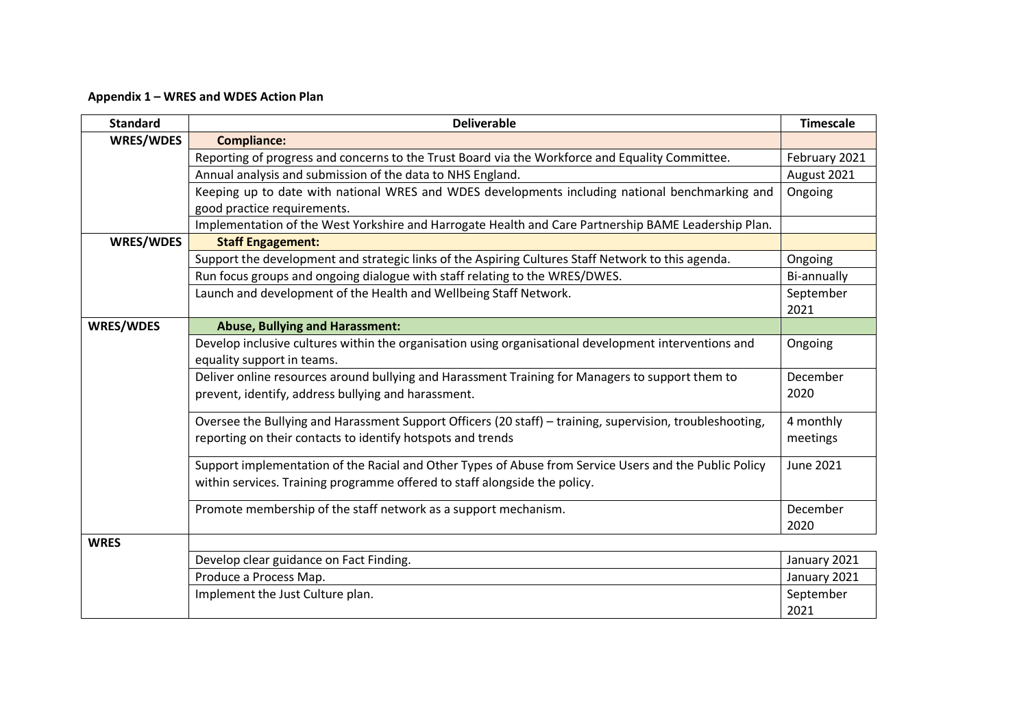## **Appendix 1 – WRES and WDES Action Plan**

| <b>Standard</b>  | <b>Deliverable</b>                                                                                        | <b>Timescale</b> |
|------------------|-----------------------------------------------------------------------------------------------------------|------------------|
| <b>WRES/WDES</b> | <b>Compliance:</b>                                                                                        |                  |
|                  | Reporting of progress and concerns to the Trust Board via the Workforce and Equality Committee.           | February 2021    |
|                  | Annual analysis and submission of the data to NHS England.                                                | August 2021      |
|                  | Keeping up to date with national WRES and WDES developments including national benchmarking and           | Ongoing          |
|                  | good practice requirements.                                                                               |                  |
|                  | Implementation of the West Yorkshire and Harrogate Health and Care Partnership BAME Leadership Plan.      |                  |
| <b>WRES/WDES</b> | <b>Staff Engagement:</b>                                                                                  |                  |
|                  | Support the development and strategic links of the Aspiring Cultures Staff Network to this agenda.        | Ongoing          |
|                  | Run focus groups and ongoing dialogue with staff relating to the WRES/DWES.                               | Bi-annually      |
|                  | Launch and development of the Health and Wellbeing Staff Network.                                         | September        |
|                  |                                                                                                           | 2021             |
| <b>WRES/WDES</b> | <b>Abuse, Bullying and Harassment:</b>                                                                    |                  |
|                  | Develop inclusive cultures within the organisation using organisational development interventions and     | Ongoing          |
|                  | equality support in teams.                                                                                |                  |
|                  | Deliver online resources around bullying and Harassment Training for Managers to support them to          | December         |
|                  | prevent, identify, address bullying and harassment.                                                       | 2020             |
|                  | Oversee the Bullying and Harassment Support Officers (20 staff) - training, supervision, troubleshooting, | 4 monthly        |
|                  | reporting on their contacts to identify hotspots and trends                                               | meetings         |
|                  | Support implementation of the Racial and Other Types of Abuse from Service Users and the Public Policy    | June 2021        |
|                  | within services. Training programme offered to staff alongside the policy.                                |                  |
|                  | Promote membership of the staff network as a support mechanism.                                           | December         |
|                  |                                                                                                           | 2020             |
| <b>WRES</b>      |                                                                                                           |                  |
|                  | Develop clear guidance on Fact Finding.                                                                   | January 2021     |
|                  | Produce a Process Map.                                                                                    | January 2021     |
|                  | Implement the Just Culture plan.                                                                          | September        |
|                  |                                                                                                           | 2021             |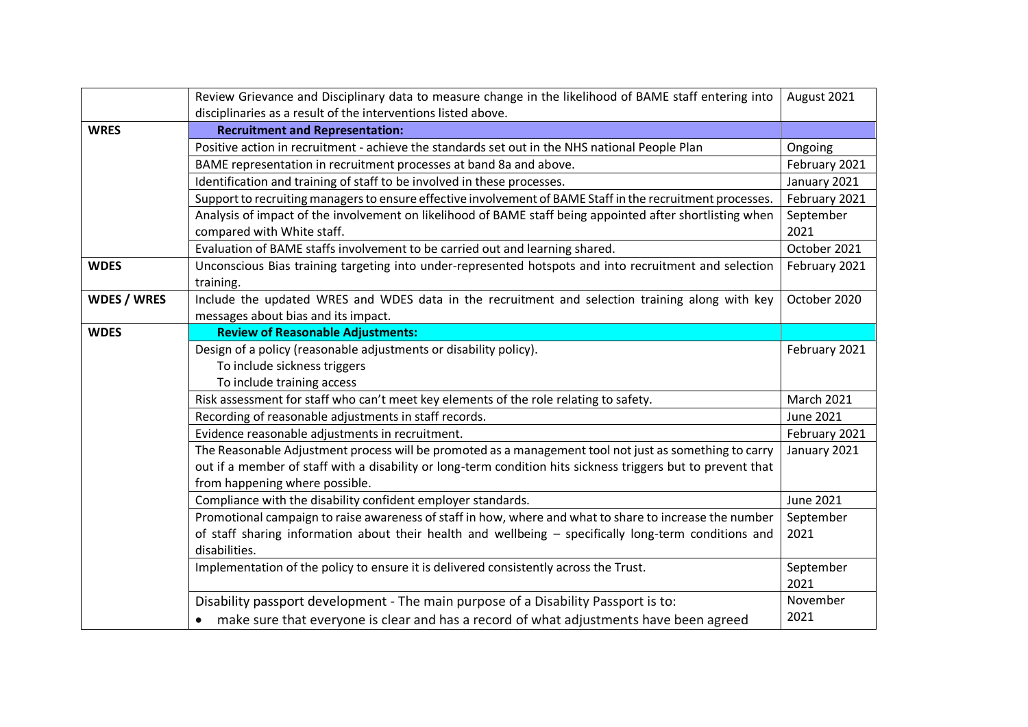|                    | Review Grievance and Disciplinary data to measure change in the likelihood of BAME staff entering into       | August 2021       |
|--------------------|--------------------------------------------------------------------------------------------------------------|-------------------|
|                    | disciplinaries as a result of the interventions listed above.                                                |                   |
| <b>WRES</b>        | <b>Recruitment and Representation:</b>                                                                       |                   |
|                    | Positive action in recruitment - achieve the standards set out in the NHS national People Plan               | Ongoing           |
|                    | BAME representation in recruitment processes at band 8a and above.                                           | February 2021     |
|                    | Identification and training of staff to be involved in these processes.                                      | January 2021      |
|                    | Support to recruiting managers to ensure effective involvement of BAME Staff in the recruitment processes.   | February 2021     |
|                    | Analysis of impact of the involvement on likelihood of BAME staff being appointed after shortlisting when    | September         |
|                    | compared with White staff.                                                                                   | 2021              |
|                    | Evaluation of BAME staffs involvement to be carried out and learning shared.                                 | October 2021      |
| <b>WDES</b>        | Unconscious Bias training targeting into under-represented hotspots and into recruitment and selection       | February 2021     |
|                    | training.                                                                                                    |                   |
| <b>WDES / WRES</b> | Include the updated WRES and WDES data in the recruitment and selection training along with key              | October 2020      |
|                    | messages about bias and its impact.                                                                          |                   |
| <b>WDES</b>        | <b>Review of Reasonable Adjustments:</b>                                                                     |                   |
|                    | Design of a policy (reasonable adjustments or disability policy).                                            | February 2021     |
|                    | To include sickness triggers                                                                                 |                   |
|                    | To include training access                                                                                   |                   |
|                    | Risk assessment for staff who can't meet key elements of the role relating to safety.                        | <b>March 2021</b> |
|                    | Recording of reasonable adjustments in staff records.                                                        | June 2021         |
|                    | Evidence reasonable adjustments in recruitment.                                                              | February 2021     |
|                    | The Reasonable Adjustment process will be promoted as a management tool not just as something to carry       | January 2021      |
|                    | out if a member of staff with a disability or long-term condition hits sickness triggers but to prevent that |                   |
|                    | from happening where possible.                                                                               |                   |
|                    | Compliance with the disability confident employer standards.                                                 | <b>June 2021</b>  |
|                    | Promotional campaign to raise awareness of staff in how, where and what to share to increase the number      | September         |
|                    | of staff sharing information about their health and wellbeing - specifically long-term conditions and        | 2021              |
|                    | disabilities.                                                                                                |                   |
|                    | Implementation of the policy to ensure it is delivered consistently across the Trust.                        | September         |
|                    |                                                                                                              | 2021              |
|                    | Disability passport development - The main purpose of a Disability Passport is to:                           | November          |
|                    | make sure that everyone is clear and has a record of what adjustments have been agreed                       | 2021              |